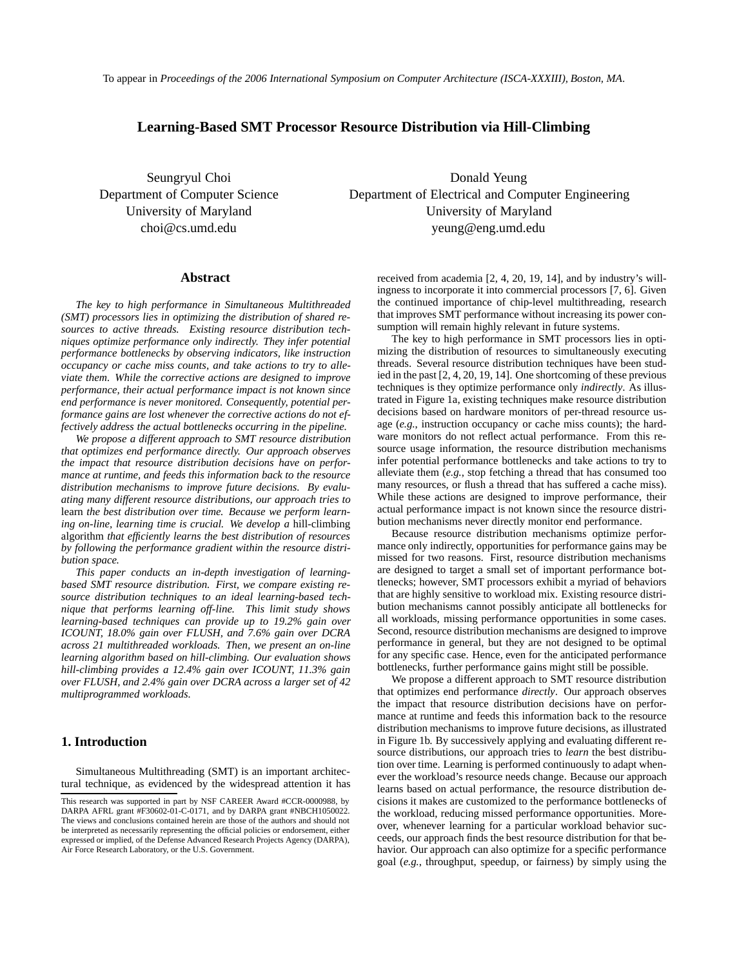To appear in *Proceedings of the 2006 International Symposium on Computer Architecture (ISCA-XXXIII), Boston, MA*.

# **Learning-Based SMT Processor Resource Distribution via Hill-Climbing**

Seungryul Choi Donald Yeung Department of Computer Science Department of Electrical and Computer Engineering University of Maryland University of Maryland choi@cs.umd.edu yeung@eng.umd.edu

#### **Abstract**

*The key to high performance in Simultaneous Multithreaded (SMT) processors lies in optimizing the distribution of shared resources to active threads. Existing resource distribution techniques optimize performance only indirectly. They infer potential performance bottlenecks by observing indicators, like instruction occupancy or cache miss counts, and take actions to try to alleviate them. While the corrective actions are designed to improve performance, their actual performance impact is not known since end performance is never monitored. Consequently, potential performance gains are lost whenever the corrective actions do not effectively address the actual bottlenecks occurring in the pipeline.*

*We propose a different approach to SMT resource distribution that optimizes end performance directly. Our approach observes the impact that resource distribution decisions have on performance at runtime, and feeds this information back to the resource distribution mechanisms to improve future decisions. By evaluating many different resource distributions, our approach tries to* learn *the best distribution over time. Because we perform learning on-line, learning time is crucial. We develop a* hill-climbing algorithm *that efficiently learns the best distribution of resources by following the performance gradient within the resource distribution space.*

*This paper conducts an in-depth investigation of learningbased SMT resource distribution. First, we compare existing resource distribution techniques to an ideal learning-based technique that performs learning off-line. This limit study shows learning-based techniques can provide up to 19.2% gain over ICOUNT, 18.0% gain over FLUSH, and 7.6% gain over DCRA across 21 multithreaded workloads. Then, we present an on-line learning algorithm based on hill-climbing. Our evaluation shows hill-climbing provides a 12.4% gain over ICOUNT, 11.3% gain over FLUSH, and 2.4% gain over DCRA across a larger set of 42 multiprogrammed workloads.*

### **1. Introduction**

Simultaneous Multithreading (SMT) is an important architectural technique, as evidenced by the widespread attention it has received from academia [2, 4, 20, 19, 14], and by industry's willingness to incorporate it into commercial processors [7, 6]. Given the continued importance of chip-level multithreading, research that improves SMT performance without increasing its power consumption will remain highly relevant in future systems.

The key to high performance in SMT processors lies in optimizing the distribution of resources to simultaneously executing threads. Several resource distribution techniques have been studied in the past [2, 4, 20, 19, 14]. One shortcoming of these previous techniques is they optimize performance only *indirectly*. As illustrated in Figure 1a, existing techniques make resource distribution decisions based on hardware monitors of per-thread resource usage (*e.g.*, instruction occupancy or cache miss counts); the hardware monitors do not reflect actual performance. From this resource usage information, the resource distribution mechanisms infer potential performance bottlenecks and take actions to try to alleviate them (*e.g.*, stop fetching a thread that has consumed too many resources, or flush a thread that has suffered a cache miss). While these actions are designed to improve performance, their actual performance impact is not known since the resource distribution mechanisms never directly monitor end performance.

Because resource distribution mechanisms optimize performance only indirectly, opportunities for performance gains may be missed for two reasons. First, resource distribution mechanisms are designed to target a small set of important performance bottlenecks; however, SMT processors exhibit a myriad of behaviors that are highly sensitive to workload mix. Existing resource distribution mechanisms cannot possibly anticipate all bottlenecks for all workloads, missing performance opportunities in some cases. Second, resource distribution mechanisms are designed to improve performance in general, but they are not designed to be optimal for any specific case. Hence, even for the anticipated performance bottlenecks, further performance gains might still be possible.

We propose a different approach to SMT resource distribution that optimizes end performance *directly*. Our approach observes the impact that resource distribution decisions have on performance at runtime and feeds this information back to the resource distribution mechanisms to improve future decisions, as illustrated in Figure 1b. By successively applying and evaluating different resource distributions, our approach tries to *learn* the best distribution over time. Learning is performed continuously to adapt whenever the workload's resource needs change. Because our approach learns based on actual performance, the resource distribution decisions it makes are customized to the performance bottlenecks of the workload, reducing missed performance opportunities. Moreover, whenever learning for a particular workload behavior succeeds, our approach finds the best resource distribution for that behavior. Our approach can also optimize for a specific performance goal (*e.g.*, throughput, speedup, or fairness) by simply using the

This research was supported in part by NSF CAREER Award #CCR-0000988, by DARPA AFRL grant #F30602-01-C-0171, and by DARPA grant #NBCH1050022. The views and conclusions contained herein are those of the authors and should not be interpreted as necessarily representing the official policies or endorsement, either expressed or implied, of the Defense Advanced Research Projects Agency (DARPA), Air Force Research Laboratory, or the U.S. Government.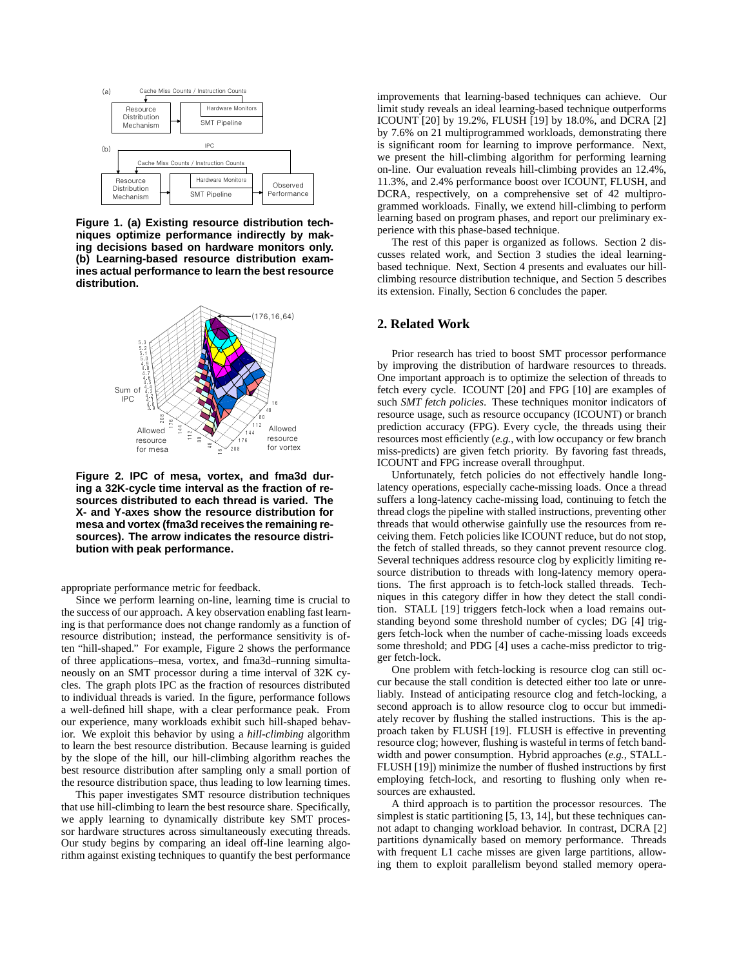

**Figure 1. (a) Existing resource distribution techniques optimize performance indirectly by making decisions based on hardware monitors only. (b) Learning-based resource distribution examines actual performance to learn the best resource distribution.**



**Figure 2. IPC of mesa, vortex, and fma3d during a 32K-cycle time interval as the fraction of resources distributed to each thread is varied. The X- and Y-axes show the resource distribution for mesa and vortex (fma3d receives the remaining resources). The arrow indicates the resource distribution with peak performance.**

appropriate performance metric for feedback.

Since we perform learning on-line, learning time is crucial to the success of our approach. A key observation enabling fast learning is that performance does not change randomly as a function of resource distribution; instead, the performance sensitivity is often "hill-shaped." For example, Figure 2 shows the performance of three applications–mesa, vortex, and fma3d–running simultaneously on an SMT processor during a time interval of 32K cycles. The graph plots IPC as the fraction of resources distributed to individual threads is varied. In the figure, performance follows a well-defined hill shape, with a clear performance peak. From our experience, many workloads exhibit such hill-shaped behavior. We exploit this behavior by using a *hill-climbing* algorithm to learn the best resource distribution. Because learning is guided by the slope of the hill, our hill-climbing algorithm reaches the best resource distribution after sampling only a small portion of the resource distribution space, thus leading to low learning times.

This paper investigates SMT resource distribution techniques that use hill-climbing to learn the best resource share. Specifically, we apply learning to dynamically distribute key SMT processor hardware structures across simultaneously executing threads. Our study begins by comparing an ideal off-line learning algorithm against existing techniques to quantify the best performance improvements that learning-based techniques can achieve. Our limit study reveals an ideal learning-based technique outperforms ICOUNT [20] by 19.2%, FLUSH [19] by 18.0%, and DCRA [2] by 7.6% on 21 multiprogrammed workloads, demonstrating there is significant room for learning to improve performance. Next, we present the hill-climbing algorithm for performing learning on-line. Our evaluation reveals hill-climbing provides an 12.4%, 11.3%, and 2.4% performance boost over ICOUNT, FLUSH, and DCRA, respectively, on a comprehensive set of 42 multiprogrammed workloads. Finally, we extend hill-climbing to perform learning based on program phases, and report our preliminary experience with this phase-based technique.

The rest of this paper is organized as follows. Section 2 discusses related work, and Section 3 studies the ideal learningbased technique. Next, Section 4 presents and evaluates our hillclimbing resource distribution technique, and Section 5 describes its extension. Finally, Section 6 concludes the paper.

### **2. Related Work**

Prior research has tried to boost SMT processor performance by improving the distribution of hardware resources to threads. One important approach is to optimize the selection of threads to fetch every cycle. ICOUNT [20] and FPG [10] are examples of such *SMT fetch policies*. These techniques monitor indicators of resource usage, such as resource occupancy (ICOUNT) or branch prediction accuracy (FPG). Every cycle, the threads using their resources most efficiently (*e.g.*, with low occupancy or few branch miss-predicts) are given fetch priority. By favoring fast threads, ICOUNT and FPG increase overall throughput.

Unfortunately, fetch policies do not effectively handle longlatency operations, especially cache-missing loads. Once a thread suffers a long-latency cache-missing load, continuing to fetch the thread clogs the pipeline with stalled instructions, preventing other threads that would otherwise gainfully use the resources from receiving them. Fetch policies like ICOUNT reduce, but do not stop, the fetch of stalled threads, so they cannot prevent resource clog. Several techniques address resource clog by explicitly limiting resource distribution to threads with long-latency memory operations. The first approach is to fetch-lock stalled threads. Techniques in this category differ in how they detect the stall condition. STALL [19] triggers fetch-lock when a load remains outstanding beyond some threshold number of cycles; DG [4] triggers fetch-lock when the number of cache-missing loads exceeds some threshold; and PDG [4] uses a cache-miss predictor to trigger fetch-lock.

One problem with fetch-locking is resource clog can still occur because the stall condition is detected either too late or unreliably. Instead of anticipating resource clog and fetch-locking, a second approach is to allow resource clog to occur but immediately recover by flushing the stalled instructions. This is the approach taken by FLUSH [19]. FLUSH is effective in preventing resource clog; however, flushing is wasteful in terms of fetch bandwidth and power consumption. Hybrid approaches (*e.g.*, STALL-FLUSH [19]) minimize the number of flushed instructions by first employing fetch-lock, and resorting to flushing only when resources are exhausted.

A third approach is to partition the processor resources. The simplest is static partitioning [5, 13, 14], but these techniques cannot adapt to changing workload behavior. In contrast, DCRA [2] partitions dynamically based on memory performance. Threads with frequent L1 cache misses are given large partitions, allowing them to exploit parallelism beyond stalled memory opera-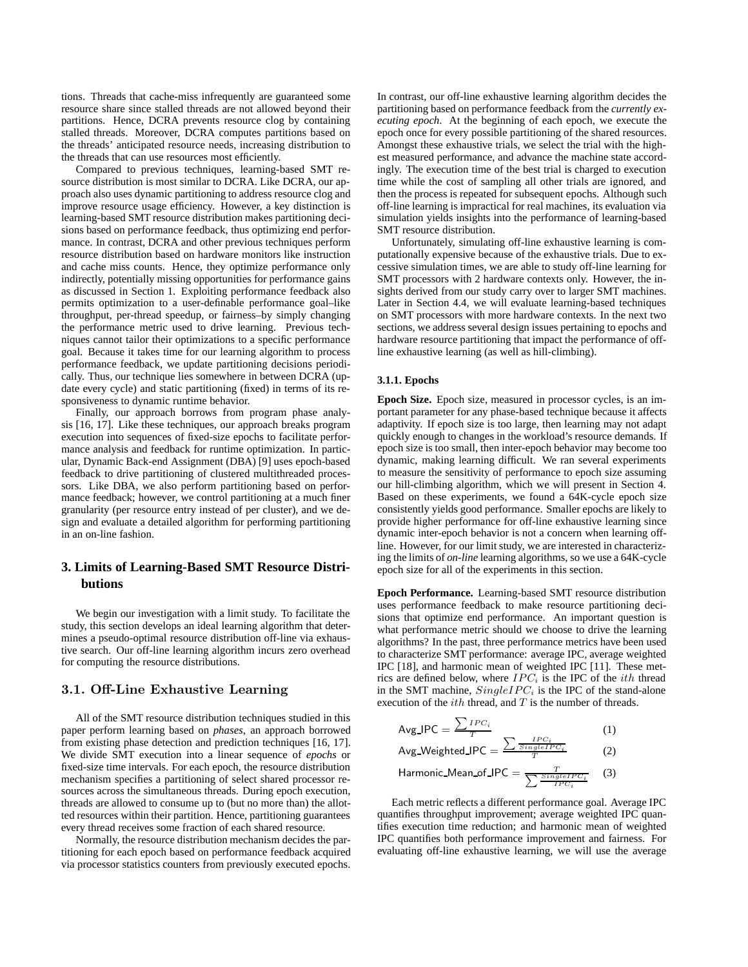tions. Threads that cache-miss infrequently are guaranteed some resource share since stalled threads are not allowed beyond their partitions. Hence, DCRA prevents resource clog by containing stalled threads. Moreover, DCRA computes partitions based on the threads' anticipated resource needs, increasing distribution to the threads that can use resources most efficiently.

Compared to previous techniques, learning-based SMT resource distribution is most similar to DCRA. Like DCRA, our approach also uses dynamic partitioning to address resource clog and improve resource usage efficiency. However, a key distinction is learning-based SMT resource distribution makes partitioning decisions based on performance feedback, thus optimizing end performance. In contrast, DCRA and other previous techniques perform resource distribution based on hardware monitors like instruction and cache miss counts. Hence, they optimize performance only indirectly, potentially missing opportunities for performance gains as discussed in Section 1. Exploiting performance feedback also permits optimization to a user-definable performance goal–like throughput, per-thread speedup, or fairness–by simply changing the performance metric used to drive learning. Previous techniques cannot tailor their optimizations to a specific performance goal. Because it takes time for our learning algorithm to process performance feedback, we update partitioning decisions periodically. Thus, our technique lies somewhere in between DCRA (update every cycle) and static partitioning (fixed) in terms of its responsiveness to dynamic runtime behavior.

Finally, our approach borrows from program phase analysis [16, 17]. Like these techniques, our approach breaks program execution into sequences of fixed-size epochs to facilitate performance analysis and feedback for runtime optimization. In particular, Dynamic Back-end Assignment (DBA) [9] uses epoch-based feedback to drive partitioning of clustered multithreaded processors. Like DBA, we also perform partitioning based on performance feedback; however, we control partitioning at a much finer granularity (per resource entry instead of per cluster), and we design and evaluate a detailed algorithm for performing partitioning in an on-line fashion.

# **3. Limits of Learning-Based SMT Resource Distributions**

We begin our investigation with a limit study. To facilitate the study, this section develops an ideal learning algorithm that determines a pseudo-optimal resource distribution off-line via exhaustive search. Our off-line learning algorithm incurs zero overhead for computing the resource distributions.

#### **3.1. Off-Line Exhaustive Learning**

All of the SMT resource distribution techniques studied in this paper perform learning based on *phases*, an approach borrowed from existing phase detection and prediction techniques [16, 17]. We divide SMT execution into a linear sequence of *epochs* or fixed-size time intervals. For each epoch, the resource distribution mechanism specifies a partitioning of select shared processor resources across the simultaneous threads. During epoch execution, threads are allowed to consume up to (but no more than) the allotted resources within their partition. Hence, partitioning guarantees every thread receives some fraction of each shared resource.

Normally, the resource distribution mechanism decides the partitioning for each epoch based on performance feedback acquired via processor statistics counters from previously executed epochs.

In contrast, our off-line exhaustive learning algorithm decides the partitioning based on performance feedback from the *currently executing epoch*. At the beginning of each epoch, we execute the epoch once for every possible partitioning of the shared resources. Amongst these exhaustive trials, we select the trial with the highest measured performance, and advance the machine state accordingly. The execution time of the best trial is charged to execution time while the cost of sampling all other trials are ignored, and then the process is repeated for subsequent epochs. Although such off-line learning is impractical for real machines, its evaluation via simulation yields insights into the performance of learning-based SMT resource distribution.

Unfortunately, simulating off-line exhaustive learning is computationally expensive because of the exhaustive trials. Due to excessive simulation times, we are able to study off-line learning for SMT processors with 2 hardware contexts only. However, the insights derived from our study carry over to larger SMT machines. Later in Section 4.4, we will evaluate learning-based techniques on SMT processors with more hardware contexts. In the next two sections, we address several design issues pertaining to epochs and hardware resource partitioning that impact the performance of offline exhaustive learning (as well as hill-climbing).

#### **3.1.1. Epochs**

**Epoch Size.** Epoch size, measured in processor cycles, is an important parameter for any phase-based technique because it affects adaptivity. If epoch size is too large, then learning may not adapt quickly enough to changes in the workload's resource demands. If epoch size is too small, then inter-epoch behavior may become too dynamic, making learning difficult. We ran several experiments to measure the sensitivity of performance to epoch size assuming our hill-climbing algorithm, which we will present in Section 4. Based on these experiments, we found a 64K-cycle epoch size consistently yields good performance. Smaller epochs are likely to provide higher performance for off-line exhaustive learning since dynamic inter-epoch behavior is not a concern when learning offline. However, for our limit study, we are interested in characterizing the limits of *on-line* learning algorithms, so we use a 64K-cycle epoch size for all of the experiments in this section.

**Epoch Performance.** Learning-based SMT resource distribution uses performance feedback to make resource partitioning decisions that optimize end performance. An important question is what performance metric should we choose to drive the learning algorithms? In the past, three performance metrics have been used to characterize SMT performance: average IPC, average weighted IPC [18], and harmonic mean of weighted IPC [11]. These metrics are defined below, where *IPC<sup>i</sup>* is the IPC of the *ith* thread in the SMT machine,  $SingleIPC_i$  is the IPC of the stand-alone execution of the *ith* thread, and *T* is the number of threads.

$$
Avg\_IPC = \frac{\sum_{TPC_i}^{IPC_i}}{T}
$$
 (1)  
Avg\\_Weighted\\_IPC =  $\frac{\sum_{STngleTPC_i}^{IPC_i}}{T}$  (2)  
Hermonic Mean of IPC

Harmonic\_Mean\_of\_IPC = 
$$
\frac{T}{\sum \frac{SingleIPC_i}{TPC_i}}
$$
 (3)

Each metric reflects a different performance goal. Average IPC quantifies throughput improvement; average weighted IPC quantifies execution time reduction; and harmonic mean of weighted IPC quantifies both performance improvement and fairness. For evaluating off-line exhaustive learning, we will use the average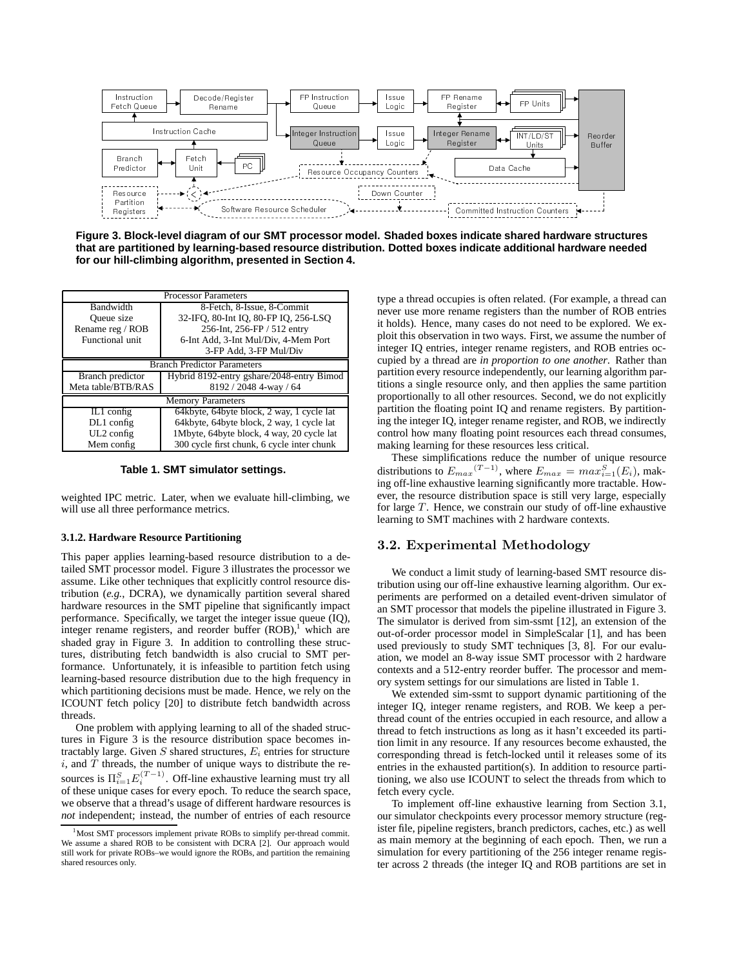

**Figure 3. Block-level diagram of our SMT processor model. Shaded boxes indicate shared hardware structures that are partitioned by learning-based resource distribution. Dotted boxes indicate additional hardware needed for our hill-climbing algorithm, presented in Section 4.**

| <b>Processor Parameters</b>        |                                             |  |  |  |  |  |
|------------------------------------|---------------------------------------------|--|--|--|--|--|
| Bandwidth                          | 8-Fetch, 8-Issue, 8-Commit                  |  |  |  |  |  |
| Queue size                         | 32-IFQ, 80-Int IQ, 80-FP IQ, 256-LSQ        |  |  |  |  |  |
| Rename reg / ROB                   | 256-Int, 256-FP / 512 entry                 |  |  |  |  |  |
| Functional unit                    | 6-Int Add, 3-Int Mul/Div, 4-Mem Port        |  |  |  |  |  |
|                                    | 3-FP Add, 3-FP Mul/Div                      |  |  |  |  |  |
| <b>Branch Predictor Parameters</b> |                                             |  |  |  |  |  |
| Branch predictor                   | Hybrid 8192-entry gshare/2048-entry Bimod   |  |  |  |  |  |
| Meta table/BTB/RAS                 | 8192 / 2048 4-way / 64                      |  |  |  |  |  |
| <b>Memory Parameters</b>           |                                             |  |  |  |  |  |
| $IL1$ config                       | 64 kbyte, 64 byte block, 2 way, 1 cycle lat |  |  |  |  |  |
| $DL1$ config                       | 64kbyte, 64byte block, 2 way, 1 cycle lat   |  |  |  |  |  |
| $UL2$ config                       | 1Mbyte, 64byte block, 4 way, 20 cycle lat   |  |  |  |  |  |
| Mem config                         | 300 cycle first chunk, 6 cycle inter chunk  |  |  |  |  |  |

**Table 1. SMT simulator settings.**

weighted IPC metric. Later, when we evaluate hill-climbing, we will use all three performance metrics.

#### **3.1.2. Hardware Resource Partitioning**

This paper applies learning-based resource distribution to a detailed SMT processor model. Figure 3 illustrates the processor we assume. Like other techniques that explicitly control resource distribution (*e.g.*, DCRA), we dynamically partition several shared hardware resources in the SMT pipeline that significantly impact performance. Specifically, we target the integer issue queue (IQ), integer rename registers, and reorder buffer  $(ROB)$ ,<sup>1</sup> which are shaded gray in Figure 3. In addition to controlling these structures, distributing fetch bandwidth is also crucial to SMT performance. Unfortunately, it is infeasible to partition fetch using learning-based resource distribution due to the high frequency in which partitioning decisions must be made. Hence, we rely on the ICOUNT fetch policy [20] to distribute fetch bandwidth across threads.

One problem with applying learning to all of the shaded structures in Figure 3 is the resource distribution space becomes intractably large. Given *<sup>S</sup>* shared structures, *<sup>E</sup><sup>i</sup>* entries for structure *i*, and *T* threads, the number of unique ways to distribute the resources is  $\Pi_{i=1}^{S} E_i^{(T-1)}$ . Off-line exhaustive learning must try all of these unique cases for every enoch. To reduce the search space of these unique cases for every epoch. To reduce the search space, we observe that a thread's usage of different hardware resources is *not* independent; instead, the number of entries of each resource

type a thread occupies is often related. (For example, a thread can never use more rename registers than the number of ROB entries it holds). Hence, many cases do not need to be explored. We exploit this observation in two ways. First, we assume the number of integer IQ entries, integer rename registers, and ROB entries occupied by a thread are *in proportion to one another*. Rather than partition every resource independently, our learning algorithm partitions a single resource only, and then applies the same partition proportionally to all other resources. Second, we do not explicitly partition the floating point IQ and rename registers. By partitioning the integer IQ, integer rename register, and ROB, we indirectly control how many floating point resources each thread consumes, making learning for these resources less critical.

These simplifications reduce the number of unique resource distributions to  $E_{max}(T-1)$ , where  $E_{max} = max_{i=1}^{S}(E_i)$ , mak-<br>ing off-line exhaustive learning significantly more tractable. Howing off-line exhaustive learning significantly more tractable. However, the resource distribution space is still very large, especially for large *T*. Hence, we constrain our study of off-line exhaustive learning to SMT machines with 2 hardware contexts.

#### **3.2. Experimental Methodology**

We conduct a limit study of learning-based SMT resource distribution using our off-line exhaustive learning algorithm. Our experiments are performed on a detailed event-driven simulator of an SMT processor that models the pipeline illustrated in Figure 3. The simulator is derived from sim-ssmt [12], an extension of the out-of-order processor model in SimpleScalar [1], and has been used previously to study SMT techniques [3, 8]. For our evaluation, we model an 8-way issue SMT processor with 2 hardware contexts and a 512-entry reorder buffer. The processor and memory system settings for our simulations are listed in Table 1.

We extended sim-ssmt to support dynamic partitioning of the integer IQ, integer rename registers, and ROB. We keep a perthread count of the entries occupied in each resource, and allow a thread to fetch instructions as long as it hasn't exceeded its partition limit in any resource. If any resources become exhausted, the corresponding thread is fetch-locked until it releases some of its entries in the exhausted partition(s). In addition to resource partitioning, we also use ICOUNT to select the threads from which to fetch every cycle.

To implement off-line exhaustive learning from Section 3.1, our simulator checkpoints every processor memory structure (register file, pipeline registers, branch predictors, caches, etc.) as well as main memory at the beginning of each epoch. Then, we run a simulation for every partitioning of the 256 integer rename register across 2 threads (the integer IQ and ROB partitions are set in

<sup>1</sup>Most SMT processors implement private ROBs to simplify per-thread commit. We assume a shared ROB to be consistent with DCRA [2]. Our approach would still work for private ROBs–we would ignore the ROBs, and partition the remaining shared resources only.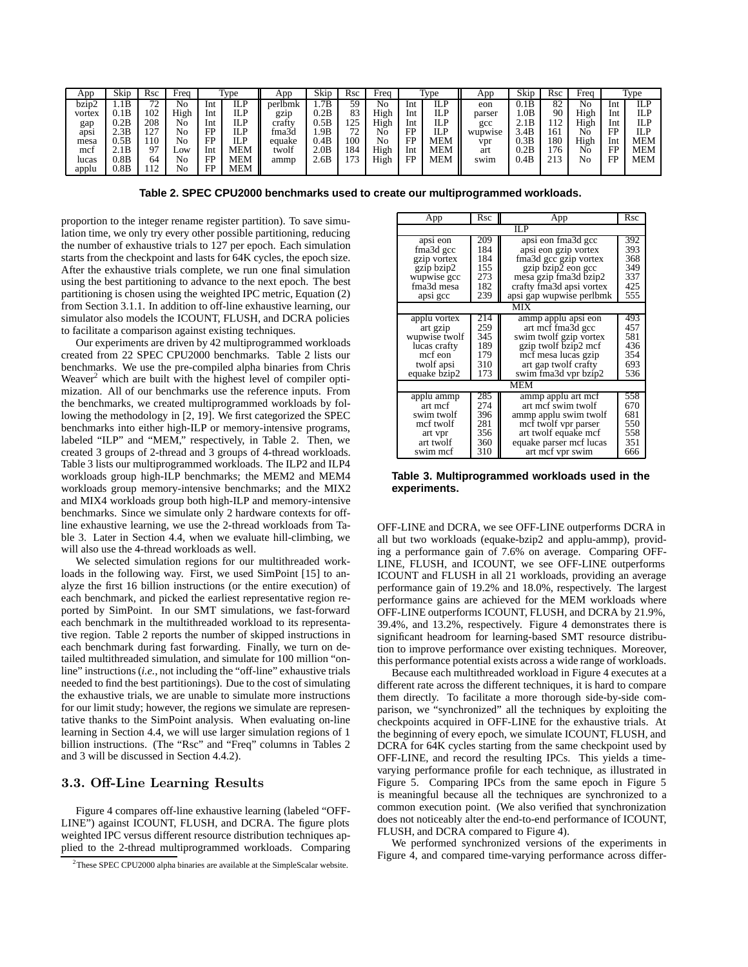| App    | Skip | Rsc               | Frea      |     | v <sub>pe</sub> | App         | Skip | Rsc       | Frea |          | $T_{VDE}$  | App     | Skip | Rsc | Freq |     | Type       |
|--------|------|-------------------|-----------|-----|-----------------|-------------|------|-----------|------|----------|------------|---------|------|-----|------|-----|------------|
| bzip2  | 1.1B | $\mathbf{a}$<br>∸ | No        | Int | D.<br>ШF        | perlbmk     | 1.7B | 59        | No   | Int      | ILP        | eon     | 0.1B | 82  | No   | Int | ILP        |
| vortex | 0.1B | 102               | High      | Int | ILP             | gzip        | 0.2B | 83        | High | Int      | ILP        | parser  | .0B  | 90  | High | Int | ILP        |
| gap    | 0.2B | 208               | No        | Int | ILP             | cratty      | 0.5B | 25        | High | Int      | ILP        | gcc     | 2.1B | 112 | High | Int | ILF        |
| apsi   | 2.3B | ר רו              | No        | FP  | IT D<br>⊥∟⊥     | n.<br>fma3d | 1.9B | 72<br>ے ، | No   | FP<br>11 | ILP        | wupwise | 3.4B | 161 | No   | FP  | ILP        |
| mesa   | 0.5B | .1C               | No        | FP  | II D<br>111     | equake      | 0.4B | 00        | No   | FP       | <b>MEM</b> | vpr     | 0.3B | 180 | High | Int | <b>MEM</b> |
| mct    | 2.1B |                   | $\sim$ OW | Int | <b>MEM</b>      | twolf       | 2.0B | 84        | High | Int      | <b>MEM</b> | art     | 0.2B | 176 | Νō   | EP  | <b>MEM</b> |
| lucas  | 0.8B | 64                | No        | FP  | <b>MEM</b>      | ammp        | 2.6B | 73<br>ر_. | High | FP       | <b>MEM</b> | swim    | 0.4B | 213 | No   | FP  | MEM        |
| applu  | 0.8B |                   | No        | FP  | MEM             |             |      |           |      |          |            |         |      |     |      |     |            |

**Table 2. SPEC CPU2000 benchmarks used to create our multiprogrammed workloads.**

proportion to the integer rename register partition). To save simulation time, we only try every other possible partitioning, reducing the number of exhaustive trials to 127 per epoch. Each simulation starts from the checkpoint and lasts for 64K cycles, the epoch size. After the exhaustive trials complete, we run one final simulation using the best partitioning to advance to the next epoch. The best partitioning is chosen using the weighted IPC metric, Equation (2) from Section 3.1.1. In addition to off-line exhaustive learning, our simulator also models the ICOUNT, FLUSH, and DCRA policies to facilitate a comparison against existing techniques.

Our experiments are driven by 42 multiprogrammed workloads created from 22 SPEC CPU2000 benchmarks. Table 2 lists our benchmarks. We use the pre-compiled alpha binaries from Chris Weaver<sup>2</sup> which are built with the highest level of compiler optimization. All of our benchmarks use the reference inputs. From the benchmarks, we created multiprogrammed workloads by following the methodology in [2, 19]. We first categorized the SPEC benchmarks into either high-ILP or memory-intensive programs, labeled "ILP" and "MEM," respectively, in Table 2. Then, we created 3 groups of 2-thread and 3 groups of 4-thread workloads. Table 3 lists our multiprogrammed workloads. The ILP2 and ILP4 workloads group high-ILP benchmarks; the MEM2 and MEM4 workloads group memory-intensive benchmarks; and the MIX2 and MIX4 workloads group both high-ILP and memory-intensive benchmarks. Since we simulate only 2 hardware contexts for offline exhaustive learning, we use the 2-thread workloads from Table 3. Later in Section 4.4, when we evaluate hill-climbing, we will also use the 4-thread workloads as well.

We selected simulation regions for our multithreaded workloads in the following way. First, we used SimPoint [15] to analyze the first 16 billion instructions (or the entire execution) of each benchmark, and picked the earliest representative region reported by SimPoint. In our SMT simulations, we fast-forward each benchmark in the multithreaded workload to its representative region. Table 2 reports the number of skipped instructions in each benchmark during fast forwarding. Finally, we turn on detailed multithreaded simulation, and simulate for 100 million "online" instructions (*i.e.*, not including the "off-line" exhaustive trials needed to find the best partitionings). Due to the cost of simulating the exhaustive trials, we are unable to simulate more instructions for our limit study; however, the regions we simulate are representative thanks to the SimPoint analysis. When evaluating on-line learning in Section 4.4, we will use larger simulation regions of 1 billion instructions. (The "Rsc" and "Freq" columns in Tables 2 and 3 will be discussed in Section 4.4.2).

#### **3.3. Off-Line Learning Results**

Figure 4 compares off-line exhaustive learning (labeled "OFF-LINE") against ICOUNT, FLUSH, and DCRA. The figure plots weighted IPC versus different resource distribution techniques applied to the 2-thread multiprogrammed workloads. Comparing

| App           | Rsc | App                      | Rsc |  |  |  |  |  |
|---------------|-----|--------------------------|-----|--|--|--|--|--|
| IL P          |     |                          |     |  |  |  |  |  |
| apsi eon      | 209 | apsi eon fma3d gcc       | 392 |  |  |  |  |  |
| fma3d gcc     | 184 | apsi eon gzip vortex     | 393 |  |  |  |  |  |
| gzip vortex   | 184 | fma3d gcc gzip vortex    | 368 |  |  |  |  |  |
| gzip bzip2    | 155 | gzip bzip2 eon gcc       | 349 |  |  |  |  |  |
| wupwise gcc   | 273 | mesa gzip fma3d bzip2    | 337 |  |  |  |  |  |
| fma3d mesa    | 182 | crafty fma3d apsi vortex | 425 |  |  |  |  |  |
| apsi gcc      | 239 | apsi gap wupwise perlbmk | 555 |  |  |  |  |  |
|               |     | MIX                      |     |  |  |  |  |  |
| applu vortex  | 214 | ammp applu apsi eon      | 493 |  |  |  |  |  |
| art gzip      | 259 | art mef fma3d gee        | 457 |  |  |  |  |  |
| wupwise twolf | 345 | swim twolf gzip vortex   | 581 |  |  |  |  |  |
| lucas crafty  | 189 | gzip twolf bzip2 mcf     | 436 |  |  |  |  |  |
| mcf eon       | 179 | mcf mesa lucas gzip      | 354 |  |  |  |  |  |
| twolf apsi    | 310 | art gap twolf crafty     | 693 |  |  |  |  |  |
| equake bzip2  | 173 | swim fma3d vpr bzip2     | 536 |  |  |  |  |  |
|               |     | MEM                      |     |  |  |  |  |  |
| applu ammp    | 285 | ammp applu art mcf       | 558 |  |  |  |  |  |
| art mcf       | 274 | art mcf swim twolf       | 670 |  |  |  |  |  |
| swim twolf    | 396 | ammp applu swim twolf    | 681 |  |  |  |  |  |
| mef twolf     | 281 | mcf twolf vpr parser     | 550 |  |  |  |  |  |
| art vpr       | 356 | art twolf equake mcf     | 558 |  |  |  |  |  |
| art twolf     | 360 | equake parser mcf lucas  | 351 |  |  |  |  |  |
| swim mcf      | 310 | art mcf vpr swim         | 666 |  |  |  |  |  |

**Table 3. Multiprogrammed workloads used in the experiments.**

OFF-LINE and DCRA, we see OFF-LINE outperforms DCRA in all but two workloads (equake-bzip2 and applu-ammp), providing a performance gain of 7.6% on average. Comparing OFF-LINE, FLUSH, and ICOUNT, we see OFF-LINE outperforms ICOUNT and FLUSH in all 21 workloads, providing an average performance gain of 19.2% and 18.0%, respectively. The largest performance gains are achieved for the MEM workloads where OFF-LINE outperforms ICOUNT, FLUSH, and DCRA by 21.9%, 39.4%, and 13.2%, respectively. Figure 4 demonstrates there is significant headroom for learning-based SMT resource distribution to improve performance over existing techniques. Moreover, this performance potential exists across a wide range of workloads.

Because each multithreaded workload in Figure 4 executes at a different rate across the different techniques, it is hard to compare them directly. To facilitate a more thorough side-by-side comparison, we "synchronized" all the techniques by exploiting the checkpoints acquired in OFF-LINE for the exhaustive trials. At the beginning of every epoch, we simulate ICOUNT, FLUSH, and DCRA for 64K cycles starting from the same checkpoint used by OFF-LINE, and record the resulting IPCs. This yields a timevarying performance profile for each technique, as illustrated in Figure 5. Comparing IPCs from the same epoch in Figure 5 is meaningful because all the techniques are synchronized to a common execution point. (We also verified that synchronization does not noticeably alter the end-to-end performance of ICOUNT, FLUSH, and DCRA compared to Figure 4).

We performed synchronized versions of the experiments in Figure 4, and compared time-varying performance across differ-

 $2$ These SPEC CPU2000 alpha binaries are available at the SimpleScalar website.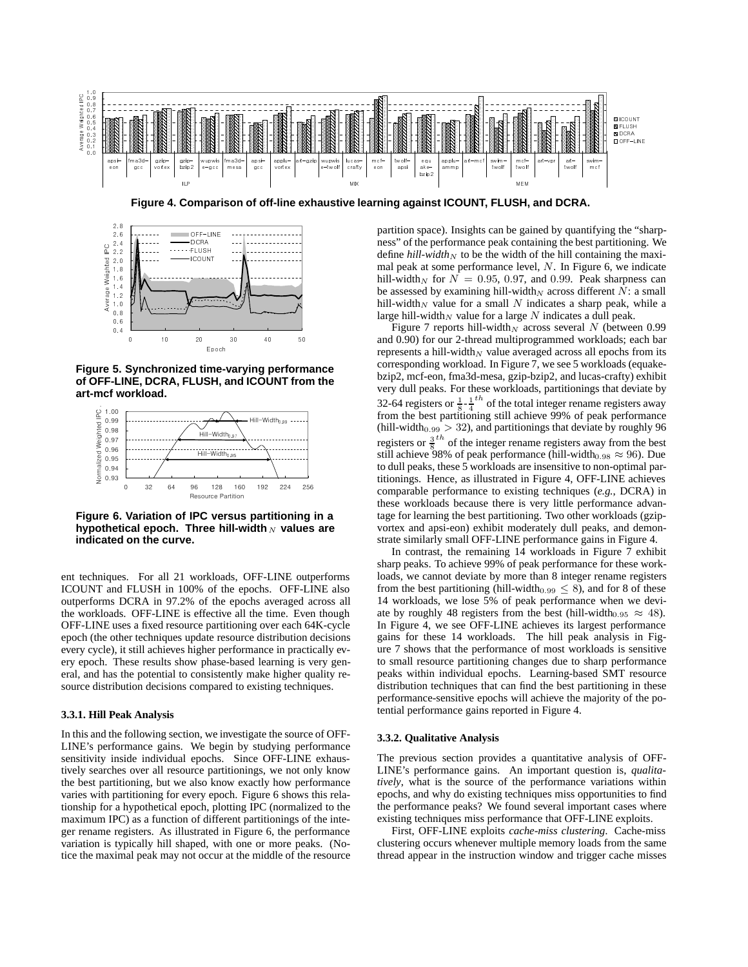

**Figure 4. Comparison of off-line exhaustive learning against ICOUNT, FLUSH, and DCRA.**



**Figure 5. Synchronized time-varying performance of OFF-LINE, DCRA, FLUSH, and ICOUNT from the art-mcf workload.**



**Figure 6. Variation of IPC versus partitioning in a hypothetical epoch. Three hill-width** *<sup>N</sup>* **values are indicated on the curve.**

ent techniques. For all 21 workloads, OFF-LINE outperforms ICOUNT and FLUSH in 100% of the epochs. OFF-LINE also outperforms DCRA in 97.2% of the epochs averaged across all the workloads. OFF-LINE is effective all the time. Even though OFF-LINE uses a fixed resource partitioning over each 64K-cycle epoch (the other techniques update resource distribution decisions every cycle), it still achieves higher performance in practically every epoch. These results show phase-based learning is very general, and has the potential to consistently make higher quality resource distribution decisions compared to existing techniques.

#### **3.3.1. Hill Peak Analysis**

In this and the following section, we investigate the source of OFF-LINE's performance gains. We begin by studying performance sensitivity inside individual epochs. Since OFF-LINE exhaustively searches over all resource partitionings, we not only know the best partitioning, but we also know exactly how performance varies with partitioning for every epoch. Figure 6 shows this relationship for a hypothetical epoch, plotting IPC (normalized to the maximum IPC) as a function of different partitionings of the integer rename registers. As illustrated in Figure 6, the performance variation is typically hill shaped, with one or more peaks. (Notice the maximal peak may not occur at the middle of the resource partition space). Insights can be gained by quantifying the "sharpness" of the performance peak containing the best partitioning. We define  $hill$ *width* $_N$  to be the width of the hill containing the maximal peak at some performance level, *N*. In Figure 6, we indicate hill-width<sub>N</sub> for  $N = 0.95, 0.97,$  and 0.99. Peak sharpness can be assessed by examining hill-width<sub>N</sub> across different  $N$ : a small hill-width<sub>N</sub> value for a small  $N$  indicates a sharp peak, while a large hill-width<sub>N</sub> value for a large  $N$  indicates a dull peak.

Figure 7 reports hill-width<sub>N</sub> across several  $N$  (between 0.99 and 0.90) for our 2-thread multiprogrammed workloads; each bar represents a hill-width<sub>N</sub> value averaged across all epochs from its corresponding workload. In Figure 7, we see 5 workloads (equakebzip2, mcf-eon, fma3d-mesa, gzip-bzip2, and lucas-crafty) exhibit very dull peaks. For these workloads, partitionings that deviate by 32-64 registers or  $\frac{1}{8}$   $-\frac{1}{4}$  <sup>th</sup> of the total integer rename registers away from the best partitioning still achieve 99% of peak performance (hill-width $_{0.99}$  > 32), and partitionings that deviate by roughly 96 registers or  $\frac{3}{8}$ <sup>th</sup> of the integer rename registers away from the best still achieve 98% of peak performance (hill-width<sub>0.98</sub>  $\approx$  96). Due to dull peaks, these 5 workloads are insensitive to non-optimal partitionings. Hence, as illustrated in Figure 4, OFF-LINE achieves comparable performance to existing techniques (*e.g.*, DCRA) in these workloads because there is very little performance advantage for learning the best partitioning. Two other workloads (gzipvortex and apsi-eon) exhibit moderately dull peaks, and demonstrate similarly small OFF-LINE performance gains in Figure 4.

In contrast, the remaining 14 workloads in Figure 7 exhibit sharp peaks. To achieve 99% of peak performance for these workloads, we cannot deviate by more than 8 integer rename registers from the best partitioning (hill-width<sub>0.99</sub>  $\leq$  8), and for 8 of these 14 workloads, we lose 5% of peak performance when we deviate by roughly 48 registers from the best (hill-width<sub>0.95</sub>  $\approx$  48). In Figure 4, we see OFF-LINE achieves its largest performance gains for these 14 workloads. The hill peak analysis in Figure 7 shows that the performance of most workloads is sensitive to small resource partitioning changes due to sharp performance peaks within individual epochs. Learning-based SMT resource distribution techniques that can find the best partitioning in these performance-sensitive epochs will achieve the majority of the potential performance gains reported in Figure 4.

#### **3.3.2. Qualitative Analysis**

The previous section provides a quantitative analysis of OFF-LINE's performance gains. An important question is, *qualitatively*, what is the source of the performance variations within epochs, and why do existing techniques miss opportunities to find the performance peaks? We found several important cases where existing techniques miss performance that OFF-LINE exploits.

First, OFF-LINE exploits *cache-miss clustering*. Cache-miss clustering occurs whenever multiple memory loads from the same thread appear in the instruction window and trigger cache misses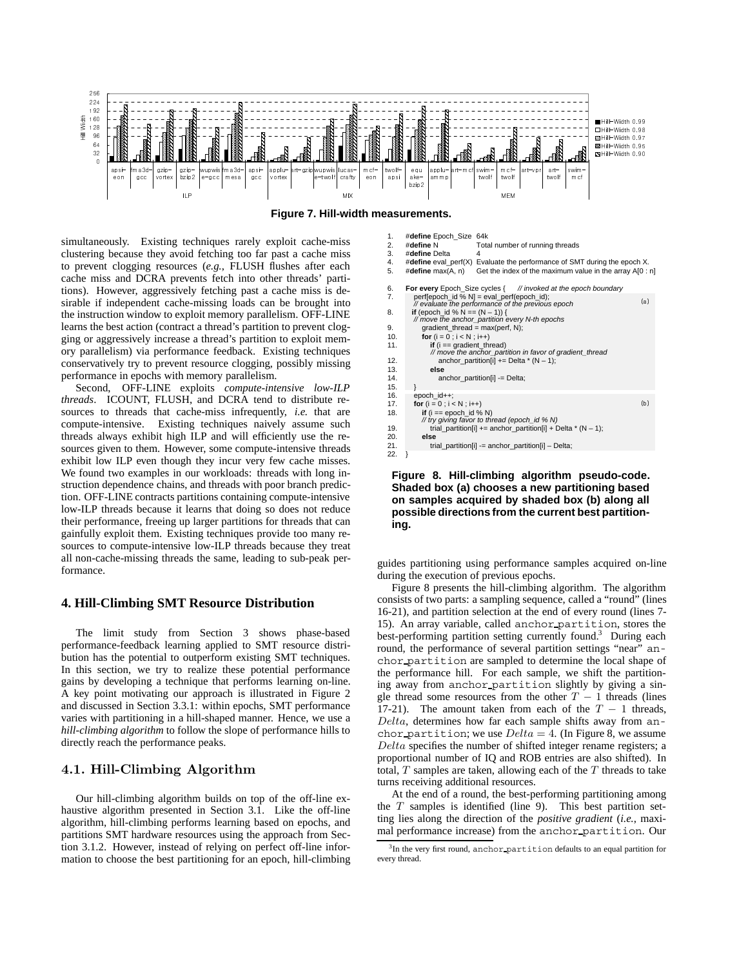

**Figure 7. Hill-width measurements.**

simultaneously. Existing techniques rarely exploit cache-miss clustering because they avoid fetching too far past a cache miss to prevent clogging resources (*e.g.*, FLUSH flushes after each cache miss and DCRA prevents fetch into other threads' partitions). However, aggressively fetching past a cache miss is desirable if independent cache-missing loads can be brought into the instruction window to exploit memory parallelism. OFF-LINE learns the best action (contract a thread's partition to prevent clogging or aggressively increase a thread's partition to exploit memory parallelism) via performance feedback. Existing techniques conservatively try to prevent resource clogging, possibly missing performance in epochs with memory parallelism.

Second, OFF-LINE exploits *compute-intensive low-ILP threads*. ICOUNT, FLUSH, and DCRA tend to distribute resources to threads that cache-miss infrequently, *i.e.* that are compute-intensive. Existing techniques naively assume such threads always exhibit high ILP and will efficiently use the resources given to them. However, some compute-intensive threads exhibit low ILP even though they incur very few cache misses. We found two examples in our workloads: threads with long instruction dependence chains, and threads with poor branch prediction. OFF-LINE contracts partitions containing compute-intensive low-ILP threads because it learns that doing so does not reduce their performance, freeing up larger partitions for threads that can gainfully exploit them. Existing techniques provide too many resources to compute-intensive low-ILP threads because they treat all non-cache-missing threads the same, leading to sub-peak performance.

### **4. Hill-Climbing SMT Resource Distribution**

The limit study from Section 3 shows phase-based performance-feedback learning applied to SMT resource distribution has the potential to outperform existing SMT techniques. In this section, we try to realize these potential performance gains by developing a technique that performs learning on-line. A key point motivating our approach is illustrated in Figure 2 and discussed in Section 3.3.1: within epochs, SMT performance varies with partitioning in a hill-shaped manner. Hence, we use a *hill-climbing algorithm* to follow the slope of performance hills to directly reach the performance peaks.

#### **4.1. Hill-Climbing Algorithm**

Our hill-climbing algorithm builds on top of the off-line exhaustive algorithm presented in Section 3.1. Like the off-line algorithm, hill-climbing performs learning based on epochs, and partitions SMT hardware resources using the approach from Section 3.1.2. However, instead of relying on perfect off-line information to choose the best partitioning for an epoch, hill-climbing

| 1.  | #define Epoch Size 64k            |                                                                                                   |     |
|-----|-----------------------------------|---------------------------------------------------------------------------------------------------|-----|
| 2.  | #define N                         | Total number of running threads                                                                   |     |
| 3.  | #define Delta                     | 4                                                                                                 |     |
| 4.  |                                   | #define eval_perf(X) Evaluate the performance of SMT during the epoch X.                          |     |
| 5.  | #define max(A, n)                 | Get the index of the maximum value in the array A[0 : n]                                          |     |
| 6.  |                                   | For every Epoch_Size cycles { // invoked at the epoch boundary                                    |     |
| 7.  |                                   | perflepoch id % $N$ ] = eval perf(epoch id);<br>// evaluate the performance of the previous epoch | (a) |
| 8.  | if (epoch id % N == $(N - 1)$ ) { | // move the anchor_partition every N-th epochs                                                    |     |
| 9.  | $gradient_{t}$ = max(perf, N);    |                                                                                                   |     |
| 10. | for $(i = 0; i < N; i++)$         |                                                                                                   |     |
| 11. | if $(i == gradient thread)$       | // move the anchor_partition in favor of gradient_thread                                          |     |
| 12. |                                   | anchor partition [i] += Delta * ( $N - 1$ );                                                      |     |
| 13. | else                              |                                                                                                   |     |
| 14. |                                   | anchor partition[i] -= Delta;                                                                     |     |
| 15. |                                   |                                                                                                   |     |
| 16. | epoch_id++;                       |                                                                                                   |     |
| 17. | for $(i = 0 : i < N : i++)$       |                                                                                                   | (b) |
| 18. | if $(i == epoch_id \% N)$         | // try giving favor to thread (epoch_id % N)                                                      |     |
| 19. |                                   | trial_partition[i] += anchor_partition[i] + Delta $*(N - 1)$ ;                                    |     |
| 20. | else                              |                                                                                                   |     |
| 21. |                                   | trial partition[i] -= anchor partition[i] - Delta;                                                |     |
| 22. |                                   |                                                                                                   |     |

#### **Figure 8. Hill-climbing algorithm pseudo-code. Shaded box (a) chooses a new partitioning based on samples acquired by shaded box (b) along all possible directions from the current best partitioning.**

guides partitioning using performance samples acquired on-line during the execution of previous epochs.

Figure 8 presents the hill-climbing algorithm. The algorithm consists of two parts: a sampling sequence, called a "round" (lines 16-21), and partition selection at the end of every round (lines 7- 15). An array variable, called anchor partition, stores the best-performing partition setting currently found.<sup>3</sup> During each round, the performance of several partition settings "near" anchor partition are sampled to determine the local shape of the performance hill. For each sample, we shift the partitioning away from anchor partition slightly by giving a single thread some resources from the other  $T - 1$  threads (lines 17-21). The amount taken from each of the  $T - 1$  threads, *Delta*, determines how far each sample shifts away from anchor partition; we use  $Delta = 4$ . (In Figure 8, we assume *Delta* specifies the number of shifted integer rename registers; a proportional number of IQ and ROB entries are also shifted). In total, *T* samples are taken, allowing each of the *T* threads to take turns receiving additional resources.

At the end of a round, the best-performing partitioning among the *T* samples is identified (line 9). This best partition setting lies along the direction of the *positive gradient* (*i.e.*, maximal performance increase) from the anchor partition. Our

 $^3$ In the very first round, anchor partition defaults to an equal partition for every thread.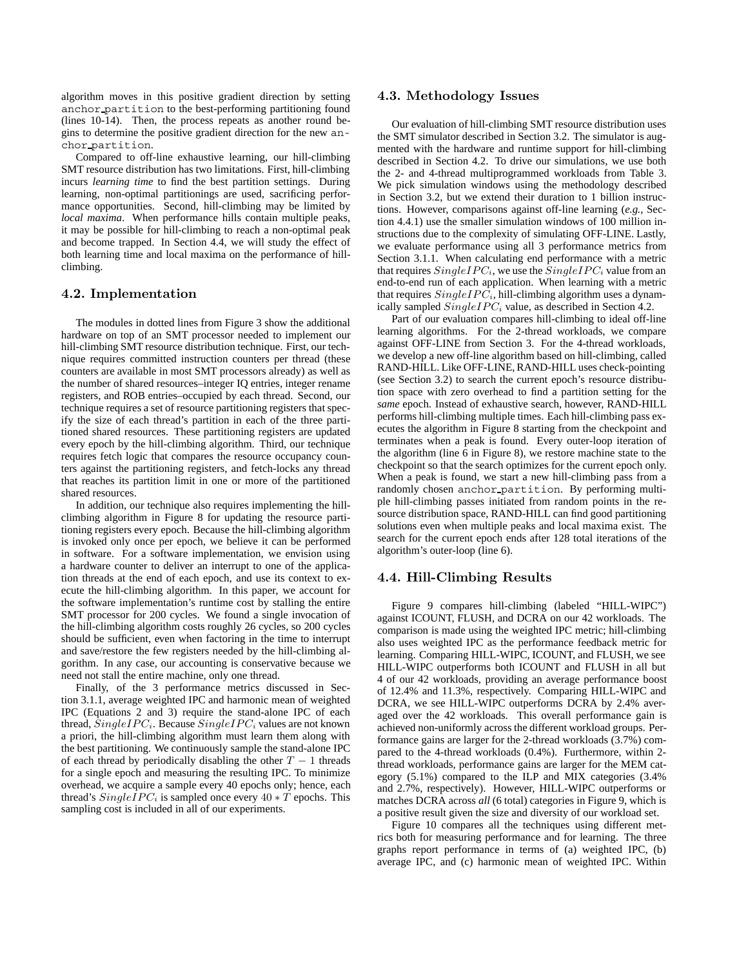algorithm moves in this positive gradient direction by setting anchor partition to the best-performing partitioning found (lines 10-14). Then, the process repeats as another round begins to determine the positive gradient direction for the new anchor partition.

Compared to off-line exhaustive learning, our hill-climbing SMT resource distribution has two limitations. First, hill-climbing incurs *learning time* to find the best partition settings. During learning, non-optimal partitionings are used, sacrificing performance opportunities. Second, hill-climbing may be limited by *local maxima*. When performance hills contain multiple peaks, it may be possible for hill-climbing to reach a non-optimal peak and become trapped. In Section 4.4, we will study the effect of both learning time and local maxima on the performance of hillclimbing.

## **4.2. Implementation**

The modules in dotted lines from Figure 3 show the additional hardware on top of an SMT processor needed to implement our hill-climbing SMT resource distribution technique. First, our technique requires committed instruction counters per thread (these counters are available in most SMT processors already) as well as the number of shared resources–integer IQ entries, integer rename registers, and ROB entries–occupied by each thread. Second, our technique requires a set of resource partitioning registers that specify the size of each thread's partition in each of the three partitioned shared resources. These partitioning registers are updated every epoch by the hill-climbing algorithm. Third, our technique requires fetch logic that compares the resource occupancy counters against the partitioning registers, and fetch-locks any thread that reaches its partition limit in one or more of the partitioned shared resources.

In addition, our technique also requires implementing the hillclimbing algorithm in Figure 8 for updating the resource partitioning registers every epoch. Because the hill-climbing algorithm is invoked only once per epoch, we believe it can be performed in software. For a software implementation, we envision using a hardware counter to deliver an interrupt to one of the application threads at the end of each epoch, and use its context to execute the hill-climbing algorithm. In this paper, we account for the software implementation's runtime cost by stalling the entire SMT processor for 200 cycles. We found a single invocation of the hill-climbing algorithm costs roughly 26 cycles, so 200 cycles should be sufficient, even when factoring in the time to interrupt and save/restore the few registers needed by the hill-climbing algorithm. In any case, our accounting is conservative because we need not stall the entire machine, only one thread.

Finally, of the 3 performance metrics discussed in Section 3.1.1, average weighted IPC and harmonic mean of weighted IPC (Equations 2 and 3) require the stand-alone IPC of each thread,  $SingleIPC_i$ . Because  $SingleIPC_i$  values are not known a priori, the hill-climbing algorithm must learn them along with the best partitioning. We continuously sample the stand-alone IPC of each thread by periodically disabling the other  $T - 1$  threads for a single epoch and measuring the resulting IPC. To minimize overhead, we acquire a sample every 40 epochs only; hence, each thread's  $SingleIPC_i$  is sampled once every  $40 * T$  epochs. This sampling cost is included in all of our experiments.

#### **4.3. Methodology Issues**

Our evaluation of hill-climbing SMT resource distribution uses the SMT simulator described in Section 3.2. The simulator is augmented with the hardware and runtime support for hill-climbing described in Section 4.2. To drive our simulations, we use both the 2- and 4-thread multiprogrammed workloads from Table 3. We pick simulation windows using the methodology described in Section 3.2, but we extend their duration to 1 billion instructions. However, comparisons against off-line learning (*e.g.*, Section 4.4.1) use the smaller simulation windows of 100 million instructions due to the complexity of simulating OFF-LINE. Lastly, we evaluate performance using all 3 performance metrics from Section 3.1.1. When calculating end performance with a metric that requires  $SingleIPC_i$ , we use the  $SingleIPC_i$  value from an end-to-end run of each application. When learning with a metric that requires  $SingleIPC<sub>i</sub>$ , hill-climbing algorithm uses a dynamically sampled  $SingleIPC_i$  value, as described in Section 4.2.

Part of our evaluation compares hill-climbing to ideal off-line learning algorithms. For the 2-thread workloads, we compare against OFF-LINE from Section 3. For the 4-thread workloads, we develop a new off-line algorithm based on hill-climbing, called RAND-HILL. Like OFF-LINE, RAND-HILL uses check-pointing (see Section 3.2) to search the current epoch's resource distribution space with zero overhead to find a partition setting for the *same* epoch. Instead of exhaustive search, however, RAND-HILL performs hill-climbing multiple times. Each hill-climbing pass executes the algorithm in Figure 8 starting from the checkpoint and terminates when a peak is found. Every outer-loop iteration of the algorithm (line 6 in Figure 8), we restore machine state to the checkpoint so that the search optimizes for the current epoch only. When a peak is found, we start a new hill-climbing pass from a randomly chosen anchor partition. By performing multiple hill-climbing passes initiated from random points in the resource distribution space, RAND-HILL can find good partitioning solutions even when multiple peaks and local maxima exist. The search for the current epoch ends after 128 total iterations of the algorithm's outer-loop (line 6).

## **4.4. Hill-Climbing Results**

Figure 9 compares hill-climbing (labeled "HILL-WIPC") against ICOUNT, FLUSH, and DCRA on our 42 workloads. The comparison is made using the weighted IPC metric; hill-climbing also uses weighted IPC as the performance feedback metric for learning. Comparing HILL-WIPC, ICOUNT, and FLUSH, we see HILL-WIPC outperforms both ICOUNT and FLUSH in all but 4 of our 42 workloads, providing an average performance boost of 12.4% and 11.3%, respectively. Comparing HILL-WIPC and DCRA, we see HILL-WIPC outperforms DCRA by 2.4% averaged over the 42 workloads. This overall performance gain is achieved non-uniformly across the different workload groups. Performance gains are larger for the 2-thread workloads (3.7%) compared to the 4-thread workloads (0.4%). Furthermore, within 2 thread workloads, performance gains are larger for the MEM category (5.1%) compared to the ILP and MIX categories (3.4% and 2.7%, respectively). However, HILL-WIPC outperforms or matches DCRA across *all* (6 total) categories in Figure 9, which is a positive result given the size and diversity of our workload set.

Figure 10 compares all the techniques using different metrics both for measuring performance and for learning. The three graphs report performance in terms of (a) weighted IPC, (b) average IPC, and (c) harmonic mean of weighted IPC. Within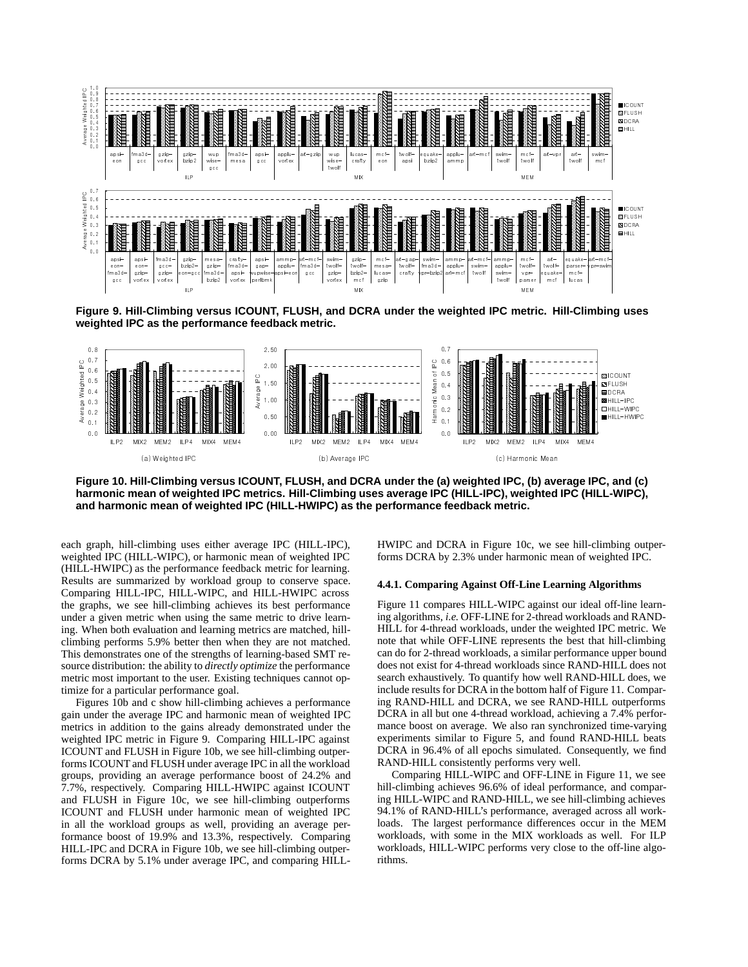

**Figure 9. Hill-Climbing versus ICOUNT, FLUSH, and DCRA under the weighted IPC metric. Hill-Climbing uses weighted IPC as the performance feedback metric.**



**Figure 10. Hill-Climbing versus ICOUNT, FLUSH, and DCRA under the (a) weighted IPC, (b) average IPC, and (c) harmonic mean of weighted IPC metrics. Hill-Climbing uses average IPC (HILL-IPC), weighted IPC (HILL-WIPC), and harmonic mean of weighted IPC (HILL-HWIPC) as the performance feedback metric.**

each graph, hill-climbing uses either average IPC (HILL-IPC), weighted IPC (HILL-WIPC), or harmonic mean of weighted IPC (HILL-HWIPC) as the performance feedback metric for learning. Results are summarized by workload group to conserve space. Comparing HILL-IPC, HILL-WIPC, and HILL-HWIPC across the graphs, we see hill-climbing achieves its best performance under a given metric when using the same metric to drive learning. When both evaluation and learning metrics are matched, hillclimbing performs 5.9% better then when they are not matched. This demonstrates one of the strengths of learning-based SMT resource distribution: the ability to *directly optimize* the performance metric most important to the user. Existing techniques cannot optimize for a particular performance goal.

Figures 10b and c show hill-climbing achieves a performance gain under the average IPC and harmonic mean of weighted IPC metrics in addition to the gains already demonstrated under the weighted IPC metric in Figure 9. Comparing HILL-IPC against ICOUNT and FLUSH in Figure 10b, we see hill-climbing outperforms ICOUNT and FLUSH under average IPC in all the workload groups, providing an average performance boost of 24.2% and 7.7%, respectively. Comparing HILL-HWIPC against ICOUNT and FLUSH in Figure 10c, we see hill-climbing outperforms ICOUNT and FLUSH under harmonic mean of weighted IPC in all the workload groups as well, providing an average performance boost of 19.9% and 13.3%, respectively. Comparing HILL-IPC and DCRA in Figure 10b, we see hill-climbing outperforms DCRA by 5.1% under average IPC, and comparing HILL-

HWIPC and DCRA in Figure 10c, we see hill-climbing outperforms DCRA by 2.3% under harmonic mean of weighted IPC.

#### **4.4.1. Comparing Against Off-Line Learning Algorithms**

Figure 11 compares HILL-WIPC against our ideal off-line learning algorithms, *i.e.* OFF-LINE for 2-thread workloads and RAND-HILL for 4-thread workloads, under the weighted IPC metric. We note that while OFF-LINE represents the best that hill-climbing can do for 2-thread workloads, a similar performance upper bound does not exist for 4-thread workloads since RAND-HILL does not search exhaustively. To quantify how well RAND-HILL does, we include results for DCRA in the bottom half of Figure 11. Comparing RAND-HILL and DCRA, we see RAND-HILL outperforms DCRA in all but one 4-thread workload, achieving a 7.4% performance boost on average. We also ran synchronized time-varying experiments similar to Figure 5, and found RAND-HILL beats DCRA in 96.4% of all epochs simulated. Consequently, we find RAND-HILL consistently performs very well.

Comparing HILL-WIPC and OFF-LINE in Figure 11, we see hill-climbing achieves 96.6% of ideal performance, and comparing HILL-WIPC and RAND-HILL, we see hill-climbing achieves 94.1% of RAND-HILL's performance, averaged across all workloads. The largest performance differences occur in the MEM workloads, with some in the MIX workloads as well. For ILP workloads, HILL-WIPC performs very close to the off-line algorithms.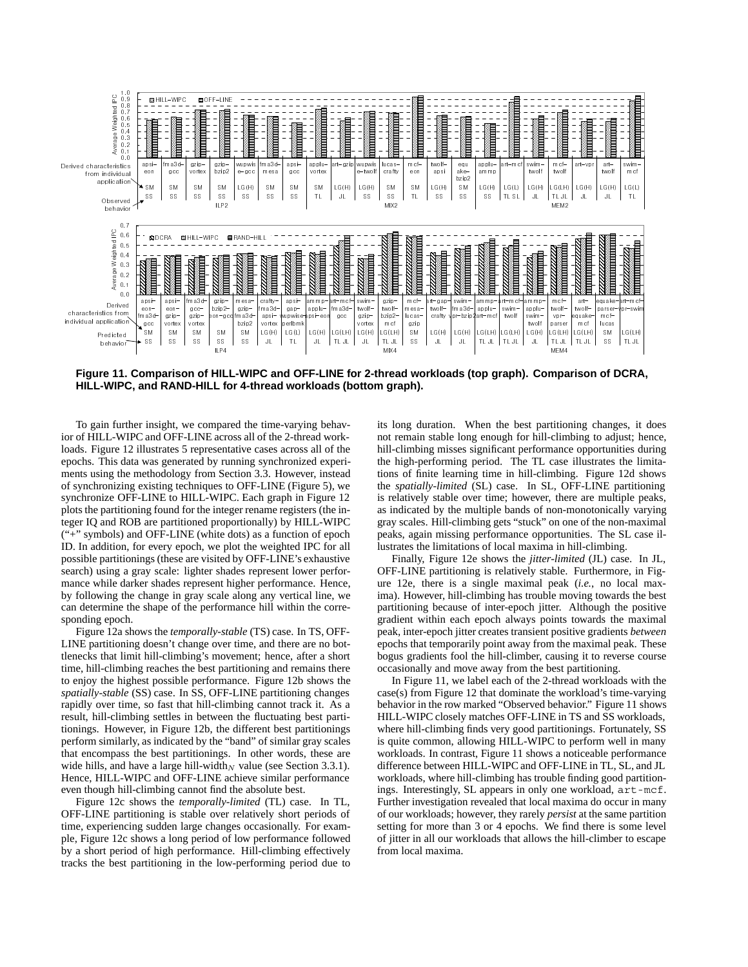

**Figure 11. Comparison of HILL-WIPC and OFF-LINE for 2-thread workloads (top graph). Comparison of DCRA, HILL-WIPC, and RAND-HILL for 4-thread workloads (bottom graph).**

To gain further insight, we compared the time-varying behavior of HILL-WIPC and OFF-LINE across all of the 2-thread workloads. Figure 12 illustrates 5 representative cases across all of the epochs. This data was generated by running synchronized experiments using the methodology from Section 3.3. However, instead of synchronizing existing techniques to OFF-LINE (Figure 5), we synchronize OFF-LINE to HILL-WIPC. Each graph in Figure 12 plots the partitioning found for the integer rename registers (the integer IQ and ROB are partitioned proportionally) by HILL-WIPC ("+" symbols) and OFF-LINE (white dots) as a function of epoch ID. In addition, for every epoch, we plot the weighted IPC for all possible partitionings (these are visited by OFF-LINE's exhaustive search) using a gray scale: lighter shades represent lower performance while darker shades represent higher performance. Hence, by following the change in gray scale along any vertical line, we can determine the shape of the performance hill within the corresponding epoch.

Figure 12a shows the *temporally-stable* (TS) case. In TS, OFF-LINE partitioning doesn't change over time, and there are no bottlenecks that limit hill-climbing's movement; hence, after a short time, hill-climbing reaches the best partitioning and remains there to enjoy the highest possible performance. Figure 12b shows the *spatially-stable* (SS) case. In SS, OFF-LINE partitioning changes rapidly over time, so fast that hill-climbing cannot track it. As a result, hill-climbing settles in between the fluctuating best partitionings. However, in Figure 12b, the different best partitionings perform similarly, as indicated by the "band" of similar gray scales that encompass the best partitionings. In other words, these are wide hills, and have a large hill-width<sub>*N*</sub> value (see Section 3.3.1). Hence, HILL-WIPC and OFF-LINE achieve similar performance even though hill-climbing cannot find the absolute best.

Figure 12c shows the *temporally-limited* (TL) case. In TL, OFF-LINE partitioning is stable over relatively short periods of time, experiencing sudden large changes occasionally. For example, Figure 12c shows a long period of low performance followed by a short period of high performance. Hill-climbing effectively tracks the best partitioning in the low-performing period due to

its long duration. When the best partitioning changes, it does not remain stable long enough for hill-climbing to adjust; hence, hill-climbing misses significant performance opportunities during the high-performing period. The TL case illustrates the limitations of finite learning time in hill-climbing. Figure 12d shows the *spatially-limited* (SL) case. In SL, OFF-LINE partitioning is relatively stable over time; however, there are multiple peaks, as indicated by the multiple bands of non-monotonically varying gray scales. Hill-climbing gets "stuck" on one of the non-maximal peaks, again missing performance opportunities. The SL case illustrates the limitations of local maxima in hill-climbing.

Finally, Figure 12e shows the *jitter-limited* (JL) case. In JL, OFF-LINE partitioning is relatively stable. Furthermore, in Figure 12e, there is a single maximal peak (*i.e.*, no local maxima). However, hill-climbing has trouble moving towards the best partitioning because of inter-epoch jitter. Although the positive gradient within each epoch always points towards the maximal peak, inter-epoch jitter creates transient positive gradients *between* epochs that temporarily point away from the maximal peak. These bogus gradients fool the hill-climber, causing it to reverse course occasionally and move away from the best partitioning.

In Figure 11, we label each of the 2-thread workloads with the case(s) from Figure 12 that dominate the workload's time-varying behavior in the row marked "Observed behavior." Figure 11 shows HILL-WIPC closely matches OFF-LINE in TS and SS workloads, where hill-climbing finds very good partitionings. Fortunately, SS is quite common, allowing HILL-WIPC to perform well in many workloads. In contrast, Figure 11 shows a noticeable performance difference between HILL-WIPC and OFF-LINE in TL, SL, and JL workloads, where hill-climbing has trouble finding good partitionings. Interestingly, SL appears in only one workload, art-mcf. Further investigation revealed that local maxima do occur in many of our workloads; however, they rarely *persist* at the same partition setting for more than 3 or 4 epochs. We find there is some level of jitter in all our workloads that allows the hill-climber to escape from local maxima.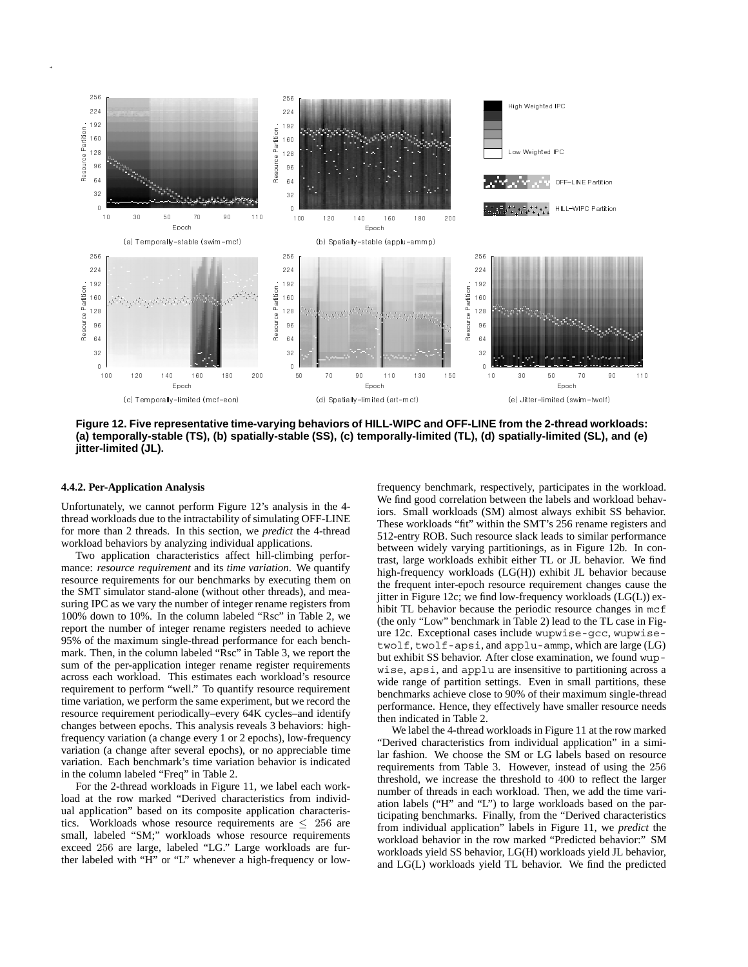

**Figure 12. Five representative time-varying behaviors of HILL-WIPC and OFF-LINE from the 2-thread workloads: (a) temporally-stable (TS), (b) spatially-stable (SS), (c) temporally-limited (TL), (d) spatially-limited (SL), and (e) jitter-limited (JL).**

#### **4.4.2. Per-Application Analysis**

Unfortunately, we cannot perform Figure 12's analysis in the 4 thread workloads due to the intractability of simulating OFF-LINE for more than 2 threads. In this section, we *predict* the 4-thread workload behaviors by analyzing individual applications.

Two application characteristics affect hill-climbing performance: *resource requirement* and its *time variation*. We quantify resource requirements for our benchmarks by executing them on the SMT simulator stand-alone (without other threads), and measuring IPC as we vary the number of integer rename registers from 100% down to 10%. In the column labeled "Rsc" in Table 2, we report the number of integer rename registers needed to achieve 95% of the maximum single-thread performance for each benchmark. Then, in the column labeled "Rsc" in Table 3, we report the sum of the per-application integer rename register requirements across each workload. This estimates each workload's resource requirement to perform "well." To quantify resource requirement time variation, we perform the same experiment, but we record the resource requirement periodically–every 64K cycles–and identify changes between epochs. This analysis reveals 3 behaviors: highfrequency variation (a change every 1 or 2 epochs), low-frequency variation (a change after several epochs), or no appreciable time variation. Each benchmark's time variation behavior is indicated in the column labeled "Freq" in Table 2.

For the 2-thread workloads in Figure 11, we label each workload at the row marked "Derived characteristics from individual application" based on its composite application characteristics. Workloads whose resource requirements are  $\leq 256$  are small, labeled "SM;" workloads whose resource requirements exceed 256 are large, labeled "LG." Large workloads are further labeled with "H" or "L" whenever a high-frequency or lowfrequency benchmark, respectively, participates in the workload. We find good correlation between the labels and workload behaviors. Small workloads (SM) almost always exhibit SS behavior. These workloads "fit" within the SMT's 256 rename registers and 512-entry ROB. Such resource slack leads to similar performance between widely varying partitionings, as in Figure 12b. In contrast, large workloads exhibit either TL or JL behavior. We find high-frequency workloads (LG(H)) exhibit JL behavior because the frequent inter-epoch resource requirement changes cause the jitter in Figure 12c; we find low-frequency workloads (LG(L)) exhibit TL behavior because the periodic resource changes in mcf (the only "Low" benchmark in Table 2) lead to the TL case in Figure 12c. Exceptional cases include wupwise-gcc, wupwisetwolf, twolf-apsi, and applu-ammp, which are large (LG) but exhibit SS behavior. After close examination, we found wupwise, apsi, and applu are insensitive to partitioning across a wide range of partition settings. Even in small partitions, these benchmarks achieve close to 90% of their maximum single-thread performance. Hence, they effectively have smaller resource needs then indicated in Table 2.

We label the 4-thread workloads in Figure 11 at the row marked "Derived characteristics from individual application" in a similar fashion. We choose the SM or LG labels based on resource requirements from Table 3. However, instead of using the 256 threshold, we increase the threshold to 400 to reflect the larger number of threads in each workload. Then, we add the time variation labels ("H" and "L") to large workloads based on the participating benchmarks. Finally, from the "Derived characteristics from individual application" labels in Figure 11, we *predict* the workload behavior in the row marked "Predicted behavior:" SM workloads yield SS behavior, LG(H) workloads yield JL behavior, and LG(L) workloads yield TL behavior. We find the predicted